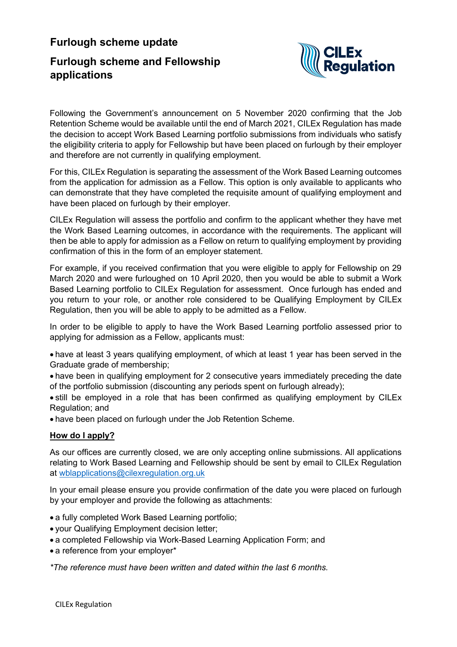# **Furlough scheme update Furlough scheme and Fellowship applications**



Following the Government's announcement on 5 November 2020 confirming that the Job Retention Scheme would be available until the end of March 2021, CILEx Regulation has made the decision to accept Work Based Learning portfolio submissions from individuals who satisfy the eligibility criteria to apply for Fellowship but have been placed on furlough by their employer and therefore are not currently in qualifying employment.

For this, CILEx Regulation is separating the assessment of the Work Based Learning outcomes from the application for admission as a Fellow. This option is only available to applicants who can demonstrate that they have completed the requisite amount of qualifying employment and have been placed on furlough by their employer.

CILEx Regulation will assess the portfolio and confirm to the applicant whether they have met the Work Based Learning outcomes, in accordance with the requirements. The applicant will then be able to apply for admission as a Fellow on return to qualifying employment by providing confirmation of this in the form of an employer statement.

For example, if you received confirmation that you were eligible to apply for Fellowship on 29 March 2020 and were furloughed on 10 April 2020, then you would be able to submit a Work Based Learning portfolio to CILEx Regulation for assessment. Once furlough has ended and you return to your role, or another role considered to be Qualifying Employment by CILEx Regulation, then you will be able to apply to be admitted as a Fellow.

In order to be eligible to apply to have the Work Based Learning portfolio assessed prior to applying for admission as a Fellow, applicants must:

• have at least 3 years qualifying employment, of which at least 1 year has been served in the Graduate grade of membership;

• have been in qualifying employment for 2 consecutive years immediately preceding the date of the portfolio submission (discounting any periods spent on furlough already);

• still be employed in a role that has been confirmed as qualifying employment by CILEx Regulation; and

• have been placed on furlough under the Job Retention Scheme.

## **How do I apply?**

As our offices are currently closed, we are only accepting online submissions. All applications relating to Work Based Learning and Fellowship should be sent by email to CILEx Regulation at [wblapplications@cilexregulation.org.uk](mailto:wblapplications@cilexregulation.org.uk)

In your email please ensure you provide confirmation of the date you were placed on furlough by your employer and provide the following as attachments:

- a fully completed Work Based Learning portfolio;
- your Qualifying Employment decision letter;
- a completed Fellowship via Work-Based Learning Application Form; and
- a reference from your employer\*

*\*The reference must have been written and dated within the last 6 months.*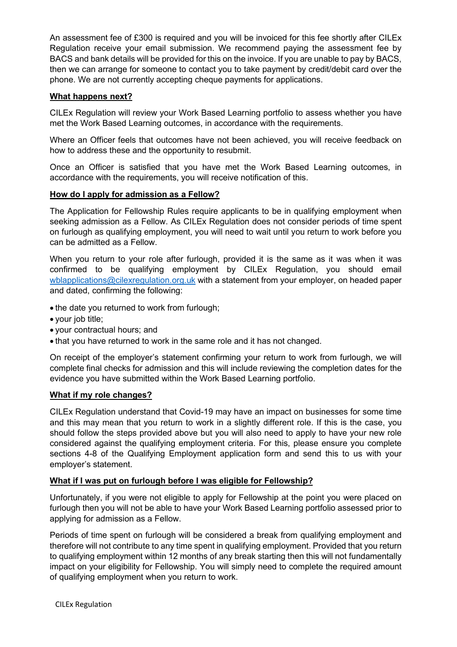An assessment fee of £300 is required and you will be invoiced for this fee shortly after CILEx Regulation receive your email submission. We recommend paying the assessment fee by BACS and bank details will be provided for this on the invoice. If you are unable to pay by BACS, then we can arrange for someone to contact you to take payment by credit/debit card over the phone. We are not currently accepting cheque payments for applications.

# **What happens next?**

CILEx Regulation will review your Work Based Learning portfolio to assess whether you have met the Work Based Learning outcomes, in accordance with the requirements.

Where an Officer feels that outcomes have not been achieved, you will receive feedback on how to address these and the opportunity to resubmit.

Once an Officer is satisfied that you have met the Work Based Learning outcomes, in accordance with the requirements, you will receive notification of this.

# **How do I apply for admission as a Fellow?**

The Application for Fellowship Rules require applicants to be in qualifying employment when seeking admission as a Fellow. As CILEx Regulation does not consider periods of time spent on furlough as qualifying employment, you will need to wait until you return to work before you can be admitted as a Fellow.

When you return to your role after furlough, provided it is the same as it was when it was confirmed to be qualifying employment by CILEx Regulation, you should email [wblapplications@cilexregulation.org.uk](mailto:wblapplications@cilexregulation.org.uk) with a statement from your employer, on headed paper and dated, confirming the following:

- the date you returned to work from furlough;
- your job title;
- your contractual hours; and
- that you have returned to work in the same role and it has not changed.

On receipt of the employer's statement confirming your return to work from furlough, we will complete final checks for admission and this will include reviewing the completion dates for the evidence you have submitted within the Work Based Learning portfolio.

## **What if my role changes?**

CILEx Regulation understand that Covid-19 may have an impact on businesses for some time and this may mean that you return to work in a slightly different role. If this is the case, you should follow the steps provided above but you will also need to apply to have your new role considered against the qualifying employment criteria. For this, please ensure you complete sections 4-8 of the Qualifying Employment application form and send this to us with your employer's statement.

## **What if I was put on furlough before I was eligible for Fellowship?**

Unfortunately, if you were not eligible to apply for Fellowship at the point you were placed on furlough then you will not be able to have your Work Based Learning portfolio assessed prior to applying for admission as a Fellow.

Periods of time spent on furlough will be considered a break from qualifying employment and therefore will not contribute to any time spent in qualifying employment. Provided that you return to qualifying employment within 12 months of any break starting then this will not fundamentally impact on your eligibility for Fellowship. You will simply need to complete the required amount of qualifying employment when you return to work.